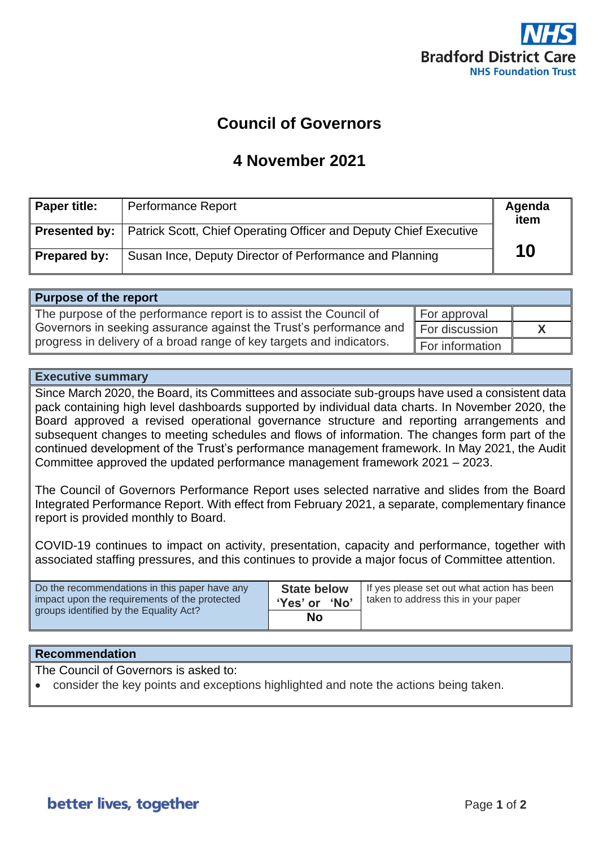

## **Council of Governors**

## **4 November 2021**

| <b>Paper title:</b> | <b>Performance Report</b>                                                                | Agenda<br>item |
|---------------------|------------------------------------------------------------------------------------------|----------------|
|                     | <b>Presented by:</b>   Patrick Scott, Chief Operating Officer and Deputy Chief Executive |                |
| <b>Prepared by:</b> | Susan Ince, Deputy Director of Performance and Planning                                  | 10             |

| Purpose of the report                                                |                             |  |
|----------------------------------------------------------------------|-----------------------------|--|
| The purpose of the performance report is to assist the Council of    | $\blacksquare$ For approval |  |
| Governors in seeking assurance against the Trust's performance and   | For discussion              |  |
| progress in delivery of a broad range of key targets and indicators. | For information             |  |

## **Executive summary**

Since March 2020, the Board, its Committees and associate sub-groups have used a consistent data pack containing high level dashboards supported by individual data charts. In November 2020, the Board approved a revised operational governance structure and reporting arrangements and subsequent changes to meeting schedules and flows of information. The changes form part of the continued development of the Trust's performance management framework. In May 2021, the Audit Committee approved the updated performance management framework 2021 – 2023.

The Council of Governors Performance Report uses selected narrative and slides from the Board Integrated Performance Report. With effect from February 2021, a separate, complementary finance report is provided monthly to Board.

COVID-19 continues to impact on activity, presentation, capacity and performance, together with associated staffing pressures, and this continues to provide a major focus of Committee attention.

| Do the recommendations in this paper have any | <b>State below</b> | If yes please set out what action has been |
|-----------------------------------------------|--------------------|--------------------------------------------|
| impact upon the requirements of the protected | 'Yes' or 'No'      | taken to address this in your paper        |
| groups identified by the Equality Act?        | No                 |                                            |

## **Recommendation**

The Council of Governors is asked to:

• consider the key points and exceptions highlighted and note the actions being taken.